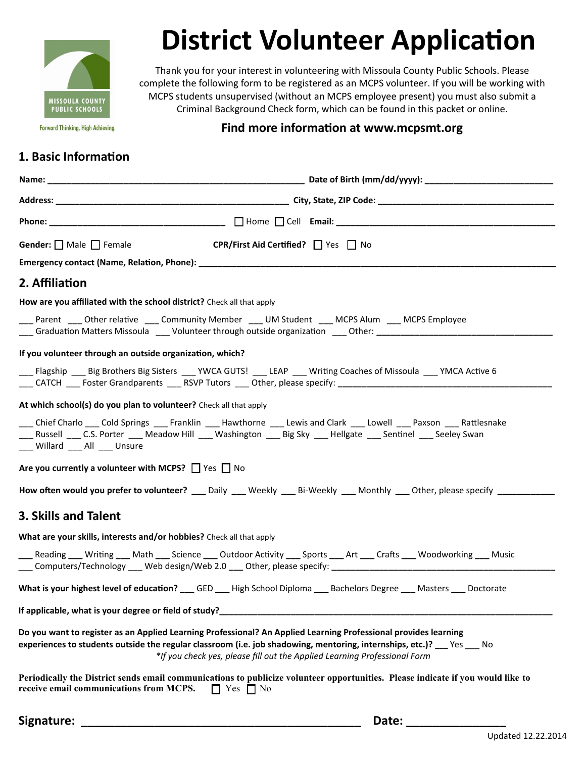

# **District Volunteer Application**

Thank you for your interest in volunteering with Missoula County Public Schools. Please complete the following form to be registered as an MCPS volunteer. If you will be working with MCPS students unsupervised (without an MCPS employee present) you must also submit a Criminal Background Check form, which can be found in this packet or online.

**Forward Thinking, High Achieving.** 

#### **Find more information at www.mcpsmt.org**

### **1. Basic Information**

| Name:                                                                                                                                                                                                                                                                                                            |
|------------------------------------------------------------------------------------------------------------------------------------------------------------------------------------------------------------------------------------------------------------------------------------------------------------------|
|                                                                                                                                                                                                                                                                                                                  |
|                                                                                                                                                                                                                                                                                                                  |
| Gender: $\Box$ Male $\Box$ Female<br>CPR/First Aid Certified? □ Yes □ No                                                                                                                                                                                                                                         |
|                                                                                                                                                                                                                                                                                                                  |
| 2. Affiliation                                                                                                                                                                                                                                                                                                   |
| How are you affiliated with the school district? Check all that apply                                                                                                                                                                                                                                            |
| ___ Parent ____ Other relative ____ Community Member ___ UM Student ___ MCPS Alum ___ MCPS Employee<br>____ Graduation Matters Missoula ____ Volunteer through outside organization ____ Other: _____________________                                                                                            |
| If you volunteer through an outside organization, which?                                                                                                                                                                                                                                                         |
| __ Flagship __ Big Brothers Big Sisters __ YWCA GUTS! __ LEAP __ Writing Coaches of Missoula __ YMCA Active 6                                                                                                                                                                                                    |
| At which school(s) do you plan to volunteer? Check all that apply                                                                                                                                                                                                                                                |
| Chief Charlo ____ Cold Springs ____ Franklin ____ Hawthorne ____ Lewis and Clark ____ Lowell ____ Paxson ____ Rattlesnake<br>___ Russell ___ C.S. Porter ___ Meadow Hill ___ Washington ___ Big Sky ___ Hellgate ___ Sentinel ___ Seeley Swan<br>___ Willard ___ All ___ Unsure                                  |
| Are you currently a volunteer with MCPS? $\Box$ Yes $\Box$ No                                                                                                                                                                                                                                                    |
| How often would you prefer to volunteer? ___ Daily ___ Weekly ___ Bi-Weekly ___ Monthly ___ Other, please specify _________                                                                                                                                                                                      |
| <b>3. Skills and Talent</b>                                                                                                                                                                                                                                                                                      |
| What are your skills, interests and/or hobbies? Check all that apply                                                                                                                                                                                                                                             |
| ___ Reading ___ Writing ___ Math ___ Science ___ Outdoor Activity ___ Sports ___ Art ___ Crafts ___ Woodworking ___ Music<br>___ Computers/Technology ___ Web design/Web 2.0 ___ Other, please specify: ___________________________________                                                                      |
| What is your highest level of education? ___ GED ___ High School Diploma ___ Bachelors Degree ___ Masters ___ Doctorate                                                                                                                                                                                          |
| If applicable, what is your degree or field of study?                                                                                                                                                                                                                                                            |
| Do you want to register as an Applied Learning Professional? An Applied Learning Professional provides learning<br>experiences to students outside the regular classroom (i.e. job shadowing, mentoring, internships, etc.)? Yes No<br>*If you check yes, please fill out the Applied Learning Professional Form |
| Periodically the District sends email communications to publicize volunteer opportunities. Please indicate if you would like to<br>receive email communications from MCPS. $\Box$ Yes $\Box$ No                                                                                                                  |
| Signature:<br>Date:                                                                                                                                                                                                                                                                                              |